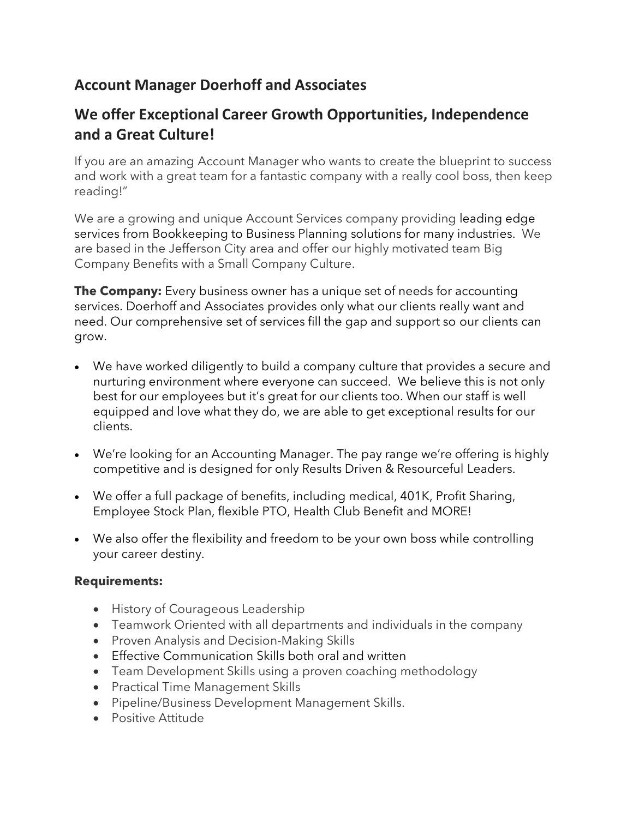# **Account Manager Doerhoff and Associates**

# **We offer Exceptional Career Growth Opportunities, Independence and a Great Culture!**

If you are an amazing Account Manager who wants to create the blueprint to success and work with a great team for a fantastic company with a really cool boss, then keep reading!"

We are a growing and unique Account Services company providing leading edge services from Bookkeeping to Business Planning solutions for many industries. We are based in the Jefferson City area and offer our highly motivated team Big Company Benefits with a Small Company Culture.

**The Company:** Every business owner has a unique set of needs for accounting services. Doerhoff and Associates provides only what our clients really want and need. Our comprehensive set of services fill the gap and support so our clients can grow.

- We have worked diligently to build a company culture that provides a secure and nurturing environment where everyone can succeed. We believe this is not only best for our employees but it's great for our clients too. When our staff is well equipped and love what they do, we are able to get exceptional results for our clients.
- We're looking for an Accounting Manager. The pay range we're offering is highly competitive and is designed for only Results Driven & Resourceful Leaders.
- We offer a full package of benefits, including medical, 401K, Profit Sharing, Employee Stock Plan, flexible PTO, Health Club Benefit and MORE!
- We also offer the flexibility and freedom to be your own boss while controlling your career destiny.

#### **Requirements:**

- History of Courageous Leadership
- Teamwork Oriented with all departments and individuals in the company
- Proven Analysis and Decision-Making Skills
- Effective Communication Skills both oral and written
- Team Development Skills using a proven coaching methodology
- Practical Time Management Skills
- Pipeline/Business Development Management Skills.
- Positive Attitude